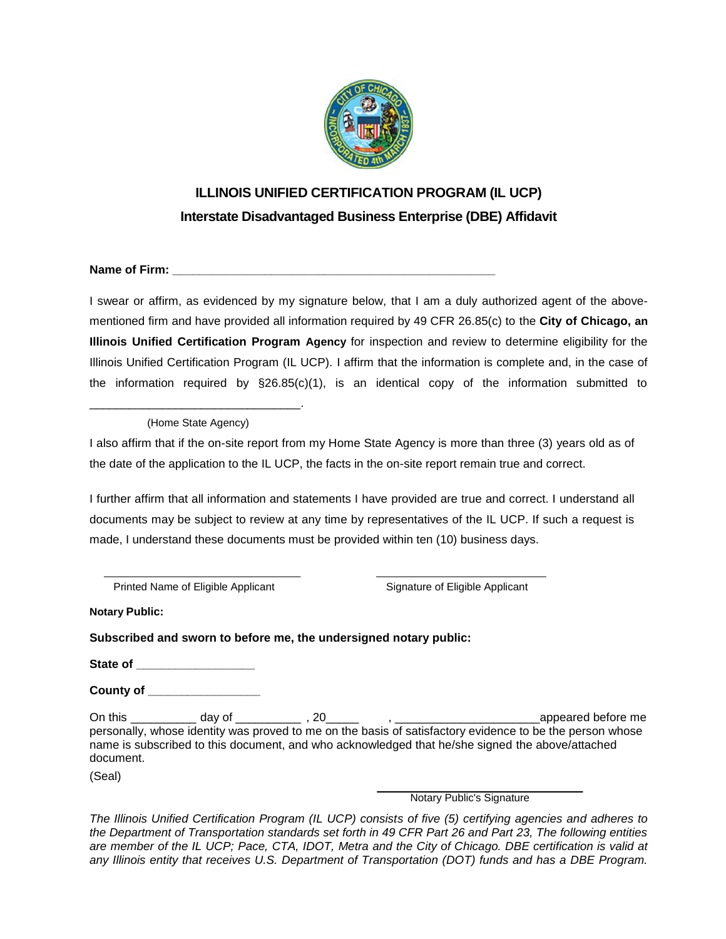

## **ILLINOIS UNIFIED CERTIFICATION PROGRAM (IL UCP) Interstate Disadvantaged Business Enterprise (DBE) Affidavit**

**Name of Firm:**  $\blacksquare$ 

I swear or affirm, as evidenced by my signature below, that I am a duly authorized agent of the abovementioned firm and have provided all information required by 49 CFR 26.85(c) to the **City of Chicago, an Illinois Unified Certification Program Agency** for inspection and review to determine eligibility for the Illinois Unified Certification Program (IL UCP). I affirm that the information is complete and, in the case of the information required by  $\S26.85(c)(1)$ , is an identical copy of the information submitted to

\_\_\_\_\_\_\_\_\_\_\_\_\_\_\_\_\_\_\_\_\_\_\_\_\_\_\_\_\_\_\_\_. (Home State Agency)

I also affirm that if the on-site report from my Home State Agency is more than three (3) years old as of the date of the application to the IL UCP, the facts in the on-site report remain true and correct.

I further affirm that all information and statements I have provided are true and correct. I understand all documents may be subject to review at any time by representatives of the IL UCP. If such a request is made, I understand these documents must be provided within ten (10) business days.

Printed Name of Eligible Applicant Signature of Eligible Applicant

**Notary Public:**

**Subscribed and sworn to before me, the undersigned notary public:**

**State of \_\_\_\_\_\_\_\_\_\_\_\_\_\_\_\_\_\_**

**County of \_\_\_\_\_\_\_\_\_\_\_\_\_\_\_\_\_**

On this \_\_\_\_\_\_\_\_\_\_ day of \_\_\_\_\_\_\_\_\_\_ , 20\_\_\_\_\_ , \_\_\_\_\_\_\_\_\_\_\_\_\_\_\_\_\_\_\_\_\_\_appeared before me personally, whose identity was proved to me on the basis of satisfactory evidence to be the person whose name is subscribed to this document, and who acknowledged that he/she signed the above/attached document.

(Seal)

Notary Public's Signature

*The Illinois Unified Certification Program (IL UCP) consists of five (5) certifying agencies and adheres to the Department of Transportation standards set forth in 49 CFR Part 26 and Part 23, The following entities are member of the IL UCP; Pace, CTA, IDOT, Metra and the City of Chicago. DBE certification is valid at any Illinois entity that receives U.S. Department of Transportation (DOT) funds and has a DBE Program.*